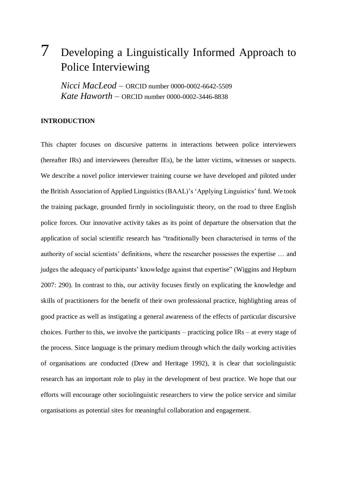# 7 Developing a Linguistically Informed Approach to Police Interviewing

*Nicci MacLeod* – ORCID number 0000-0002-6642-5509 *Kate Haworth –* ORCID number 0000-0002-3446-8838

#### **INTRODUCTION**

This chapter focuses on discursive patterns in interactions between police interviewers (hereafter IRs) and interviewees (hereafter IEs), be the latter victims, witnesses or suspects. We describe a novel police interviewer training course we have developed and piloted under the British Association of Applied Linguistics (BAAL)'s 'Applying Linguistics' fund. We took the training package, grounded firmly in sociolinguistic theory, on the road to three English police forces. Our innovative activity takes as its point of departure the observation that the application of social scientific research has "traditionally been characterised in terms of the authority of social scientists' definitions, where the researcher possesses the expertise … and judges the adequacy of participants' knowledge against that expertise" (Wiggins and Hepburn 2007: 290). In contrast to this, our activity focuses firstly on explicating the knowledge and skills of practitioners for the benefit of their own professional practice, highlighting areas of good practice as well as instigating a general awareness of the effects of particular discursive choices. Further to this, we involve the participants – practicing police IRs – at every stage of the process. Since language is the primary medium through which the daily working activities of organisations are conducted (Drew and Heritage 1992), it is clear that sociolinguistic research has an important role to play in the development of best practice. We hope that our efforts will encourage other sociolinguistic researchers to view the police service and similar organisations as potential sites for meaningful collaboration and engagement.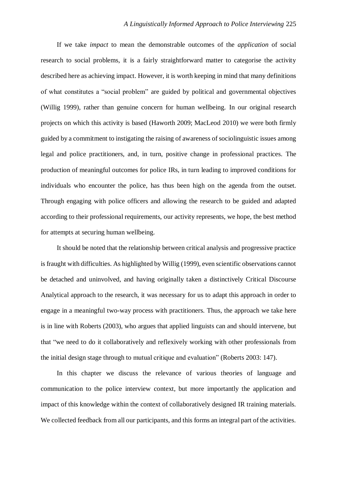If we take *impact* to mean the demonstrable outcomes of the *application* of social research to social problems, it is a fairly straightforward matter to categorise the activity described here as achieving impact. However, it is worth keeping in mind that many definitions of what constitutes a "social problem" are guided by political and governmental objectives (Willig 1999), rather than genuine concern for human wellbeing. In our original research projects on which this activity is based (Haworth 2009; MacLeod 2010) we were both firmly guided by a commitment to instigating the raising of awareness of sociolinguistic issues among legal and police practitioners, and, in turn, positive change in professional practices. The production of meaningful outcomes for police IRs, in turn leading to improved conditions for individuals who encounter the police, has thus been high on the agenda from the outset. Through engaging with police officers and allowing the research to be guided and adapted according to their professional requirements, our activity represents, we hope, the best method for attempts at securing human wellbeing.

It should be noted that the relationship between critical analysis and progressive practice is fraught with difficulties. As highlighted by Willig (1999), even scientific observations cannot be detached and uninvolved, and having originally taken a distinctively Critical Discourse Analytical approach to the research, it was necessary for us to adapt this approach in order to engage in a meaningful two-way process with practitioners. Thus, the approach we take here is in line with Roberts (2003), who argues that applied linguists can and should intervene, but that "we need to do it collaboratively and reflexively working with other professionals from the initial design stage through to mutual critique and evaluation" (Roberts 2003: 147).

In this chapter we discuss the relevance of various theories of language and communication to the police interview context, but more importantly the application and impact of this knowledge within the context of collaboratively designed IR training materials. We collected feedback from all our participants, and this forms an integral part of the activities.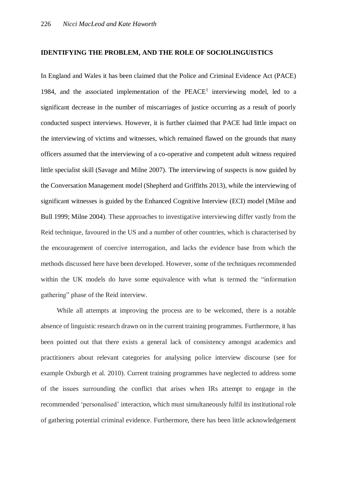#### **IDENTIFYING THE PROBLEM, AND THE ROLE OF SOCIOLINGUISTICS**

In England and Wales it has been claimed that the Police and Criminal Evidence Act (PACE) 1984, and the associated implementation of the  $PEACE<sup>1</sup>$  interviewing model, led to a significant decrease in the number of miscarriages of justice occurring as a result of poorly conducted suspect interviews. However, it is further claimed that PACE had little impact on the interviewing of victims and witnesses, which remained flawed on the grounds that many officers assumed that the interviewing of a co-operative and competent adult witness required little specialist skill (Savage and Milne 2007). The interviewing of suspects is now guided by the Conversation Management model (Shepherd and Griffiths 2013), while the interviewing of significant witnesses is guided by the Enhanced Cognitive Interview (ECI) model (Milne and Bull 1999; Milne 2004). These approaches to investigative interviewing differ vastly from the Reid technique, favoured in the US and a number of other countries, which is characterised by the encouragement of coercive interrogation, and lacks the evidence base from which the methods discussed here have been developed. However, some of the techniques recommended within the UK models do have some equivalence with what is termed the "information" gathering" phase of the Reid interview.

While all attempts at improving the process are to be welcomed, there is a notable absence of linguistic research drawn on in the current training programmes. Furthermore, it has been pointed out that there exists a general lack of consistency amongst academics and practitioners about relevant categories for analysing police interview discourse (see for example Oxburgh et al. 2010). Current training programmes have neglected to address some of the issues surrounding the conflict that arises when IRs attempt to engage in the recommended 'personalised' interaction, which must simultaneously fulfil its institutional role of gathering potential criminal evidence. Furthermore, there has been little acknowledgement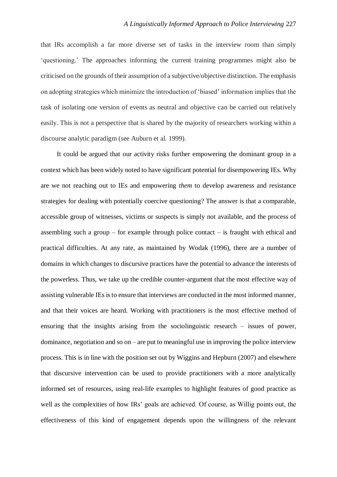that IRs accomplish a far more diverse set of tasks in the interview room than simply 'questioning.' The approaches informing the current training programmes might also be criticised on the grounds of their assumption of a subjective/objective distinction. The emphasis on adopting strategies which minimize the introduction of 'biased' information implies that the task of isolating one version of events as neutral and objective can be carried out relatively easily. This is not a perspective that is shared by the majority of researchers working within a discourse analytic paradigm (see Auburn et al. 1999).

It could be argued that our activity risks further empowering the dominant group in a context which has been widely noted to have significant potential for disempowering IEs. Why are we not reaching out to IEs and empowering *them* to develop awareness and resistance strategies for dealing with potentially coercive questioning? The answer is that a comparable, accessible group of witnesses, victims or suspects is simply not available, and the process of assembling such a group – for example through police contact – is fraught with ethical and practical difficulties. At any rate, as maintained by Wodak (1996), there are a number of domains in which changes to discursive practices have the potential to advance the interests of the powerless. Thus, we take up the credible counter-argument that the most effective way of assisting vulnerable IEs is to ensure that interviews are conducted in the most informed manner, and that their voices are heard. Working with practitioners is the most effective method of ensuring that the insights arising from the sociolinguistic research – issues of power, dominance, negotiation and so on – are put to meaningful use in improving the police interview process. This is in line with the position set out by Wiggins and Hepburn (2007) and elsewhere that discursive intervention can be used to provide practitioners with a more analytically informed set of resources, using real-life examples to highlight features of good practice as well as the complexities of how IRs' goals are achieved. Of course, as Willig points out, the effectiveness of this kind of engagement depends upon the willingness of the relevant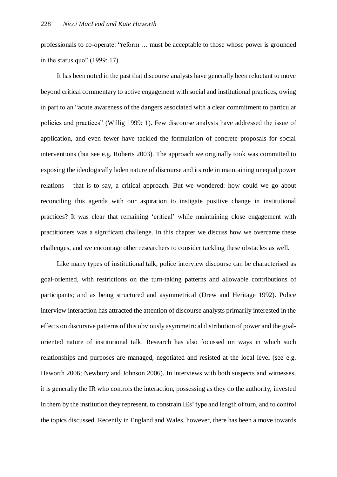professionals to co-operate: "reform … must be acceptable to those whose power is grounded in the status quo" (1999: 17).

It has been noted in the past that discourse analysts have generally been reluctant to move beyond critical commentary to active engagement with social and institutional practices, owing in part to an "acute awareness of the dangers associated with a clear commitment to particular policies and practices" (Willig 1999: 1). Few discourse analysts have addressed the issue of application, and even fewer have tackled the formulation of concrete proposals for social interventions (but see e.g. Roberts 2003). The approach we originally took was committed to exposing the ideologically laden nature of discourse and its role in maintaining unequal power relations – that is to say, a critical approach. But we wondered: how could we go about reconciling this agenda with our aspiration to instigate positive change in institutional practices? It was clear that remaining 'critical' while maintaining close engagement with practitioners was a significant challenge. In this chapter we discuss how we overcame these challenges, and we encourage other researchers to consider tackling these obstacles as well.

Like many types of institutional talk, police interview discourse can be characterised as goal-oriented, with restrictions on the turn-taking patterns and allowable contributions of participants; and as being structured and asymmetrical (Drew and Heritage 1992). Police interview interaction has attracted the attention of discourse analysts primarily interested in the effects on discursive patterns of this obviously asymmetrical distribution of power and the goaloriented nature of institutional talk. Research has also focussed on ways in which such relationships and purposes are managed, negotiated and resisted at the local level (see e.g. Haworth 2006; Newbury and Johnson 2006). In interviews with both suspects and witnesses, it is generally the IR who controls the interaction, possessing as they do the authority, invested in them by the institution they represent, to constrain IEs' type and length of turn, and to control the topics discussed. Recently in England and Wales, however, there has been a move towards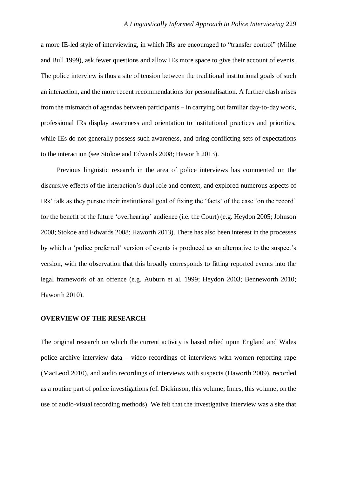a more IE-led style of interviewing, in which IRs are encouraged to "transfer control" (Milne and Bull 1999), ask fewer questions and allow IEs more space to give their account of events. The police interview is thus a site of tension between the traditional institutional goals of such an interaction, and the more recent recommendations for personalisation. A further clash arises from the mismatch of agendas between participants – in carrying out familiar day-to-day work, professional IRs display awareness and orientation to institutional practices and priorities, while IEs do not generally possess such awareness, and bring conflicting sets of expectations to the interaction (see Stokoe and Edwards 2008; Haworth 2013).

Previous linguistic research in the area of police interviews has commented on the discursive effects of the interaction's dual role and context, and explored numerous aspects of IRs' talk as they pursue their institutional goal of fixing the 'facts' of the case 'on the record' for the benefit of the future 'overhearing' audience (i.e. the Court) (e.g. Heydon 2005; Johnson 2008; Stokoe and Edwards 2008; Haworth 2013). There has also been interest in the processes by which a 'police preferred' version of events is produced as an alternative to the suspect's version, with the observation that this broadly corresponds to fitting reported events into the legal framework of an offence (e.g. Auburn et al. 1999; Heydon 2003; Benneworth 2010; Haworth 2010).

#### **OVERVIEW OF THE RESEARCH**

The original research on which the current activity is based relied upon England and Wales police archive interview data – video recordings of interviews with women reporting rape (MacLeod 2010), and audio recordings of interviews with suspects (Haworth 2009), recorded as a routine part of police investigations (cf. Dickinson, this volume; Innes, this volume, on the use of audio-visual recording methods). We felt that the investigative interview was a site that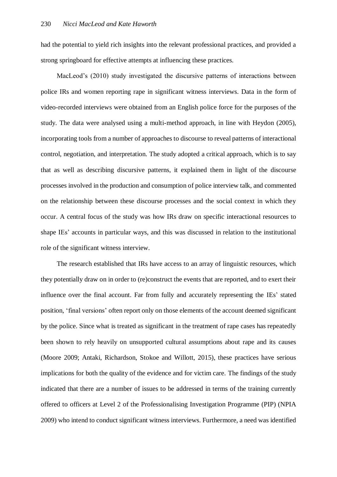had the potential to yield rich insights into the relevant professional practices, and provided a strong springboard for effective attempts at influencing these practices.

MacLeod's (2010) study investigated the discursive patterns of interactions between police IRs and women reporting rape in significant witness interviews. Data in the form of video-recorded interviews were obtained from an English police force for the purposes of the study. The data were analysed using a multi-method approach, in line with Heydon (2005), incorporating tools from a number of approaches to discourse to reveal patterns of interactional control, negotiation, and interpretation. The study adopted a critical approach, which is to say that as well as describing discursive patterns, it explained them in light of the discourse processes involved in the production and consumption of police interview talk, and commented on the relationship between these discourse processes and the social context in which they occur. A central focus of the study was how IRs draw on specific interactional resources to shape IEs' accounts in particular ways, and this was discussed in relation to the institutional role of the significant witness interview.

The research established that IRs have access to an array of linguistic resources, which they potentially draw on in order to (re)construct the events that are reported, and to exert their influence over the final account. Far from fully and accurately representing the IEs' stated position, 'final versions' often report only on those elements of the account deemed significant by the police. Since what is treated as significant in the treatment of rape cases has repeatedly been shown to rely heavily on unsupported cultural assumptions about rape and its causes (Moore 2009; Antaki, Richardson, Stokoe and Willott, 2015), these practices have serious implications for both the quality of the evidence and for victim care. The findings of the study indicated that there are a number of issues to be addressed in terms of the training currently offered to officers at Level 2 of the Professionalising Investigation Programme (PIP) (NPIA 2009) who intend to conduct significant witness interviews. Furthermore, a need was identified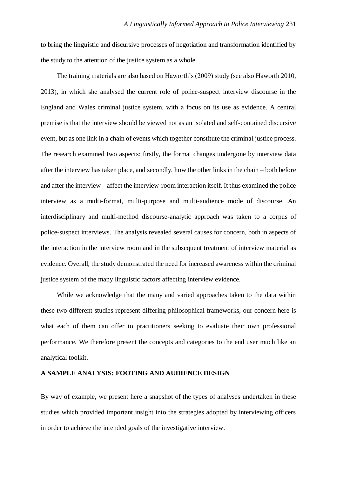to bring the linguistic and discursive processes of negotiation and transformation identified by the study to the attention of the justice system as a whole.

The training materials are also based on Haworth's (2009) study (see also Haworth 2010, 2013), in which she analysed the current role of police-suspect interview discourse in the England and Wales criminal justice system, with a focus on its use as evidence. A central premise is that the interview should be viewed not as an isolated and self-contained discursive event, but as one link in a chain of events which together constitute the criminal justice process. The research examined two aspects: firstly, the format changes undergone by interview data after the interview has taken place, and secondly, how the other links in the chain – both before and after the interview – affect the interview-room interaction itself. It thus examined the police interview as a multi-format, multi-purpose and multi-audience mode of discourse. An interdisciplinary and multi-method discourse-analytic approach was taken to a corpus of police-suspect interviews. The analysis revealed several causes for concern, both in aspects of the interaction in the interview room and in the subsequent treatment of interview material as evidence. Overall, the study demonstrated the need for increased awareness within the criminal justice system of the many linguistic factors affecting interview evidence.

While we acknowledge that the many and varied approaches taken to the data within these two different studies represent differing philosophical frameworks, our concern here is what each of them can offer to practitioners seeking to evaluate their own professional performance. We therefore present the concepts and categories to the end user much like an analytical toolkit.

#### **A SAMPLE ANALYSIS: FOOTING AND AUDIENCE DESIGN**

By way of example, we present here a snapshot of the types of analyses undertaken in these studies which provided important insight into the strategies adopted by interviewing officers in order to achieve the intended goals of the investigative interview.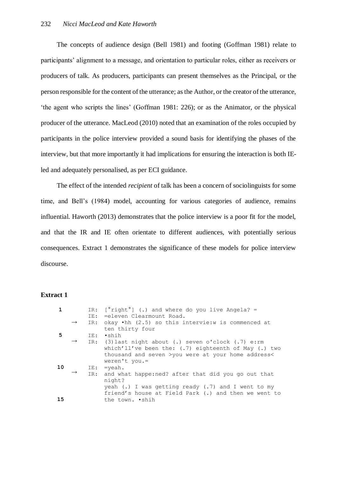The concepts of audience design (Bell 1981) and footing (Goffman 1981) relate to participants' alignment to a message, and orientation to particular roles, either as receivers or producers of talk. As producers, participants can present themselves as the Principal, or the person responsible for the content of the utterance; as the Author, or the creator of the utterance, 'the agent who scripts the lines' (Goffman 1981: 226); or as the Animator, or the physical producer of the utterance. MacLeod (2010) noted that an examination of the roles occupied by participants in the police interview provided a sound basis for identifying the phases of the interview, but that more importantly it had implications for ensuring the interaction is both IEled and adequately personalised, as per ECI guidance.

The effect of the intended *recipient* of talk has been a concern of sociolinguists for some time, and Bell's (1984) model, accounting for various categories of audience, remains influential. Haworth (2013) demonstrates that the police interview is a poor fit for the model, and that the IR and IE often orientate to different audiences, with potentially serious consequences. Extract 1 demonstrates the significance of these models for police interview discourse.

# **Extract 1**

|    |               |     | IR: $[°right°]$ (.) and where do you live Angela? =                 |
|----|---------------|-----|---------------------------------------------------------------------|
|    |               | IE: | =eleven Clearmount Road.                                            |
|    | $\rightarrow$ |     | IR: okay $\bullet$ hh (2.5) so this intervie:w is commenced at      |
|    |               |     | ten thirty four                                                     |
| 5  |               |     | IE: .shih                                                           |
|    |               |     | $\rightarrow$ IR: (3) last night about (.) seven o'clock (.7) e: rm |
|    |               |     | which'll've been the: (.7) eighteenth of May (.) two                |
|    |               |     | thousand and seven >you were at your home address<                  |
|    |               |     | weren't you.=                                                       |
| 10 |               | IE: | $=$ veah.                                                           |
|    |               | IR: | and what happe: ned? after that did you go out that                 |
|    |               |     | night?                                                              |
|    |               |     | yeah $(.)$ I was getting ready $(.)$ and I went to my               |
|    |               |     | friend's house at Field Park (.) and then we went to                |
| 15 |               |     | the town. .shih                                                     |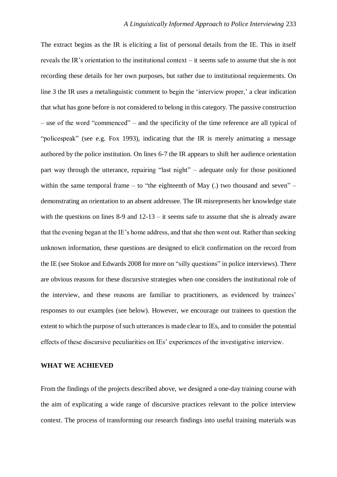The extract begins as the IR is eliciting a list of personal details from the IE. This in itself reveals the IR's orientation to the institutional context – it seems safe to assume that she is not recording these details for her own purposes, but rather due to institutional requirements. On line 3 the IR uses a metalinguistic comment to begin the 'interview proper,' a clear indication that what has gone before is not considered to belong in this category. The passive construction – use of the word "commenced" – and the specificity of the time reference are all typical of "policespeak" (see e.g. Fox 1993), indicating that the IR is merely animating a message authored by the police institution. On lines 6-7 the IR appears to shift her audience orientation part way through the utterance, repairing "last night" – adequate only for those positioned within the same temporal frame – to "the eighteenth of May  $(.)$  two thousand and seven" – demonstrating an orientation to an absent addressee. The IR misrepresents her knowledge state with the questions on lines 8-9 and 12-13 – it seems safe to assume that she is already aware that the evening began at the IE's home address, and that she then went out. Rather than seeking unknown information, these questions are designed to elicit confirmation on the record from the IE (see Stokoe and Edwards 2008 for more on "silly questions" in police interviews). There are obvious reasons for these discursive strategies when one considers the institutional role of the interview, and these reasons are familiar to practitioners, as evidenced by trainees' responses to our examples (see below). However, we encourage our trainees to question the extent to which the purpose of such utterances is made clear to IEs, and to consider the potential effects of these discursive peculiarities on IEs' experiences of the investigative interview.

#### **WHAT WE ACHIEVED**

From the findings of the projects described above, we designed a one-day training course with the aim of explicating a wide range of discursive practices relevant to the police interview context. The process of transforming our research findings into useful training materials was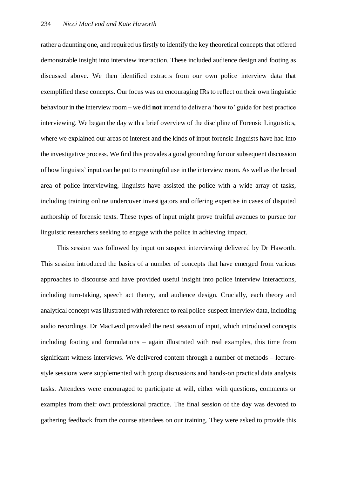rather a daunting one, and required us firstly to identify the key theoretical concepts that offered demonstrable insight into interview interaction. These included audience design and footing as discussed above. We then identified extracts from our own police interview data that exemplified these concepts. Our focus was on encouraging IRs to reflect on their own linguistic behaviour in the interview room – we did **not** intend to deliver a 'how to' guide for best practice interviewing. We began the day with a brief overview of the discipline of Forensic Linguistics, where we explained our areas of interest and the kinds of input forensic linguists have had into the investigative process. We find this provides a good grounding for our subsequent discussion of how linguists' input can be put to meaningful use in the interview room. As well as the broad area of police interviewing, linguists have assisted the police with a wide array of tasks, including training online undercover investigators and offering expertise in cases of disputed authorship of forensic texts. These types of input might prove fruitful avenues to pursue for linguistic researchers seeking to engage with the police in achieving impact.

This session was followed by input on suspect interviewing delivered by Dr Haworth. This session introduced the basics of a number of concepts that have emerged from various approaches to discourse and have provided useful insight into police interview interactions, including turn-taking, speech act theory, and audience design. Crucially, each theory and analytical concept was illustrated with reference to real police-suspect interview data, including audio recordings. Dr MacLeod provided the next session of input, which introduced concepts including footing and formulations – again illustrated with real examples, this time from significant witness interviews. We delivered content through a number of methods – lecturestyle sessions were supplemented with group discussions and hands-on practical data analysis tasks. Attendees were encouraged to participate at will, either with questions, comments or examples from their own professional practice. The final session of the day was devoted to gathering feedback from the course attendees on our training. They were asked to provide this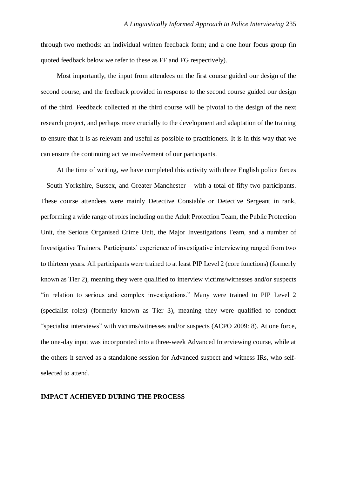through two methods: an individual written feedback form; and a one hour focus group (in quoted feedback below we refer to these as FF and FG respectively).

Most importantly, the input from attendees on the first course guided our design of the second course, and the feedback provided in response to the second course guided our design of the third. Feedback collected at the third course will be pivotal to the design of the next research project, and perhaps more crucially to the development and adaptation of the training to ensure that it is as relevant and useful as possible to practitioners. It is in this way that we can ensure the continuing active involvement of our participants.

At the time of writing, we have completed this activity with three English police forces – South Yorkshire, Sussex, and Greater Manchester – with a total of fifty-two participants. These course attendees were mainly Detective Constable or Detective Sergeant in rank, performing a wide range of roles including on the Adult Protection Team, the Public Protection Unit, the Serious Organised Crime Unit, the Major Investigations Team, and a number of Investigative Trainers. Participants' experience of investigative interviewing ranged from two to thirteen years. All participants were trained to at least PIP Level 2 (core functions) (formerly known as Tier 2), meaning they were qualified to interview victims/witnesses and/or suspects "in relation to serious and complex investigations." Many were trained to PIP Level 2 (specialist roles) (formerly known as Tier 3), meaning they were qualified to conduct "specialist interviews" with victims/witnesses and/or suspects (ACPO 2009: 8). At one force, the one-day input was incorporated into a three-week Advanced Interviewing course, while at the others it served as a standalone session for Advanced suspect and witness IRs, who selfselected to attend.

# **IMPACT ACHIEVED DURING THE PROCESS**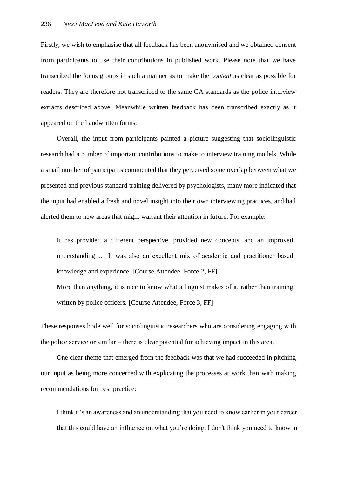Firstly, we wish to emphasise that all feedback has been anonymised and we obtained consent from participants to use their contributions in published work. Please note that we have transcribed the focus groups in such a manner as to make the *content* as clear as possible for readers. They are therefore not transcribed to the same CA standards as the police interview extracts described above. Meanwhile written feedback has been transcribed exactly as it appeared on the handwritten forms.

Overall, the input from participants painted a picture suggesting that sociolinguistic research had a number of important contributions to make to interview training models. While a small number of participants commented that they perceived some overlap between what we presented and previous standard training delivered by psychologists, many more indicated that the input had enabled a fresh and novel insight into their own interviewing practices, and had alerted them to new areas that might warrant their attention in future. For example:

It has provided a different perspective, provided new concepts, and an improved understanding … It was also an excellent mix of academic and practitioner based knowledge and experience. [Course Attendee, Force 2, FF]

More than anything, it is nice to know what a linguist makes of it, rather than training written by police officers. [Course Attendee, Force 3, FF]

These responses bode well for sociolinguistic researchers who are considering engaging with the police service or similar – there is clear potential for achieving impact in this area.

One clear theme that emerged from the feedback was that we had succeeded in pitching our input as being more concerned with explicating the processes at work than with making recommendations for best practice:

I think it's an awareness and an understanding that you need to know earlier in your career that this could have an influence on what you're doing. I don't think you need to know in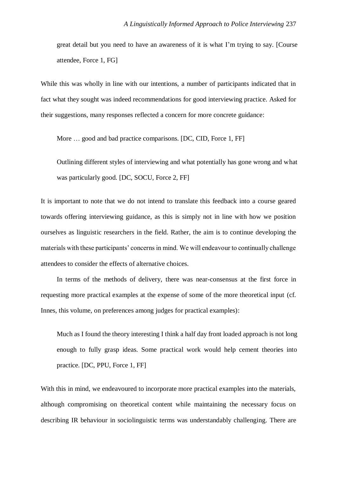great detail but you need to have an awareness of it is what I'm trying to say. [Course attendee, Force 1, FG]

While this was wholly in line with our intentions, a number of participants indicated that in fact what they sought was indeed recommendations for good interviewing practice. Asked for their suggestions, many responses reflected a concern for more concrete guidance:

More ... good and bad practice comparisons. [DC, CID, Force 1, FF]

Outlining different styles of interviewing and what potentially has gone wrong and what was particularly good. [DC, SOCU, Force 2, FF]

It is important to note that we do not intend to translate this feedback into a course geared towards offering interviewing guidance, as this is simply not in line with how we position ourselves as linguistic researchers in the field. Rather, the aim is to continue developing the materials with these participants' concerns in mind. We will endeavour to continually challenge attendees to consider the effects of alternative choices.

In terms of the methods of delivery, there was near-consensus at the first force in requesting more practical examples at the expense of some of the more theoretical input (cf. Innes, this volume, on preferences among judges for practical examples):

Much as I found the theory interesting I think a half day front loaded approach is not long enough to fully grasp ideas. Some practical work would help cement theories into practice. [DC, PPU, Force 1, FF]

With this in mind, we endeavoured to incorporate more practical examples into the materials, although compromising on theoretical content while maintaining the necessary focus on describing IR behaviour in sociolinguistic terms was understandably challenging. There are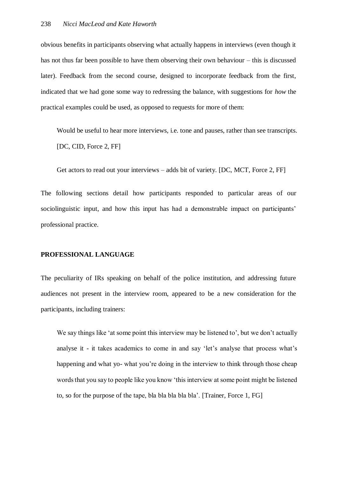obvious benefits in participants observing what actually happens in interviews (even though it has not thus far been possible to have them observing their own behaviour – this is discussed later). Feedback from the second course, designed to incorporate feedback from the first, indicated that we had gone some way to redressing the balance, with suggestions for *how* the practical examples could be used, as opposed to requests for more of them:

Would be useful to hear more interviews, i.e. tone and pauses, rather than see transcripts. [DC, CID, Force 2, FF]

Get actors to read out your interviews – adds bit of variety. [DC, MCT, Force 2, FF]

The following sections detail how participants responded to particular areas of our sociolinguistic input, and how this input has had a demonstrable impact on participants' professional practice.

#### **PROFESSIONAL LANGUAGE**

The peculiarity of IRs speaking on behalf of the police institution, and addressing future audiences not present in the interview room, appeared to be a new consideration for the participants, including trainers:

We say things like 'at some point this interview may be listened to', but we don't actually analyse it - it takes academics to come in and say 'let's analyse that process what's happening and what yo- what you're doing in the interview to think through those cheap words that you say to people like you know 'this interview at some point might be listened to, so for the purpose of the tape, bla bla bla bla bla'. [Trainer, Force 1, FG]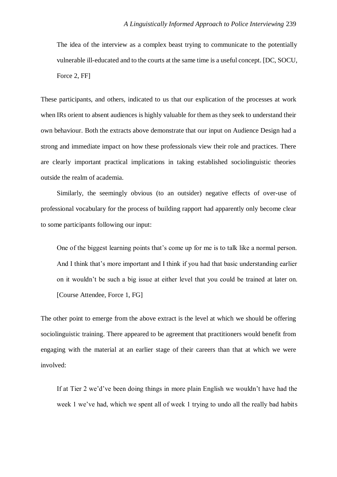The idea of the interview as a complex beast trying to communicate to the potentially vulnerable ill-educated and to the courts at the same time is a useful concept. [DC, SOCU, Force 2, FF]

These participants, and others, indicated to us that our explication of the processes at work when IRs orient to absent audiences is highly valuable for them as they seek to understand their own behaviour. Both the extracts above demonstrate that our input on Audience Design had a strong and immediate impact on how these professionals view their role and practices. There are clearly important practical implications in taking established sociolinguistic theories outside the realm of academia.

Similarly, the seemingly obvious (to an outsider) negative effects of over-use of professional vocabulary for the process of building rapport had apparently only become clear to some participants following our input:

One of the biggest learning points that's come up for me is to talk like a normal person. And I think that's more important and I think if you had that basic understanding earlier on it wouldn't be such a big issue at either level that you could be trained at later on. [Course Attendee, Force 1, FG]

The other point to emerge from the above extract is the level at which we should be offering sociolinguistic training. There appeared to be agreement that practitioners would benefit from engaging with the material at an earlier stage of their careers than that at which we were involved:

If at Tier 2 we'd've been doing things in more plain English we wouldn't have had the week 1 we've had, which we spent all of week 1 trying to undo all the really bad habits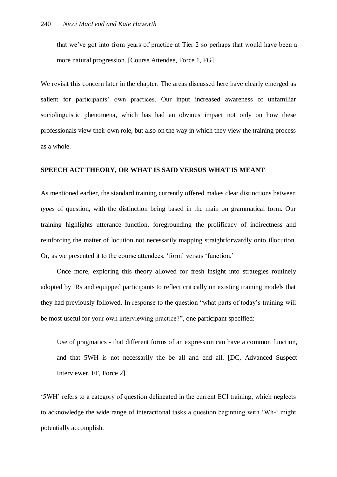that we've got into from years of practice at Tier 2 so perhaps that would have been a more natural progression. [Course Attendee, Force 1, FG]

We revisit this concern later in the chapter. The areas discussed here have clearly emerged as salient for participants' own practices. Our input increased awareness of unfamiliar sociolinguistic phenomena, which has had an obvious impact not only on how these professionals view their own role, but also on the way in which they view the training process as a whole.

#### **SPEECH ACT THEORY, OR WHAT IS SAID VERSUS WHAT IS MEANT**

As mentioned earlier, the standard training currently offered makes clear distinctions between *types* of question, with the distinction being based in the main on grammatical form. Our training highlights utterance function, foregrounding the prolificacy of indirectness and reinforcing the matter of locution not necessarily mapping straightforwardly onto illocution. Or, as we presented it to the course attendees, 'form' versus 'function.'

Once more, exploring this theory allowed for fresh insight into strategies routinely adopted by IRs and equipped participants to reflect critically on existing training models that they had previously followed. In response to the question "what parts of today's training will be most useful for your own interviewing practice?", one participant specified:

Use of pragmatics - that different forms of an expression can have a common function, and that 5WH is not necessarily the be all and end all. [DC, Advanced Suspect Interviewer, FF, Force 2]

'5WH' refers to a category of question delineated in the current ECI training, which neglects to acknowledge the wide range of interactional tasks a question beginning with 'Wh-' might potentially accomplish.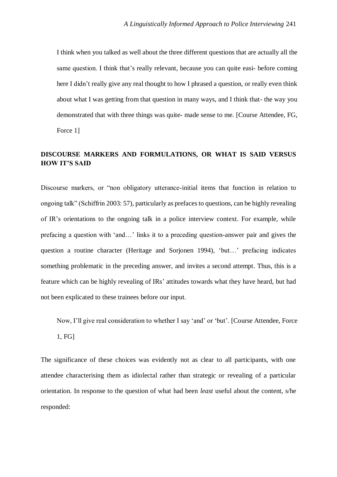I think when you talked as well about the three different questions that are actually all the same question. I think that's really relevant, because you can quite easi- before coming here I didn't really give any real thought to how I phrased a question, or really even think about what I was getting from that question in many ways, and I think that- the way you demonstrated that with three things was quite- made sense to me. [Course Attendee, FG, Force 1]

# **DISCOURSE MARKERS AND FORMULATIONS, OR WHAT IS SAID VERSUS HOW IT'S SAID**

Discourse markers, or "non obligatory utterance-initial items that function in relation to ongoing talk" (Schiffrin 2003: 57), particularly as prefaces to questions, can be highly revealing of IR's orientations to the ongoing talk in a police interview context. For example, while prefacing a question with 'and…' links it to a preceding question-answer pair and gives the question a routine character (Heritage and Sorjonen 1994), 'but…' prefacing indicates something problematic in the preceding answer, and invites a second attempt. Thus, this is a feature which can be highly revealing of IRs' attitudes towards what they have heard, but had not been explicated to these trainees before our input.

Now, I'll give real consideration to whether I say 'and' or 'but'. [Course Attendee, Force 1, FG]

The significance of these choices was evidently not as clear to all participants, with one attendee characterising them as idiolectal rather than strategic or revealing of a particular orientation. In response to the question of what had been *least* useful about the content, s/he responded: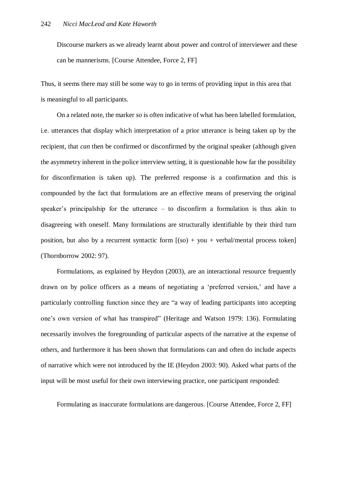Discourse markers as we already learnt about power and control of interviewer and these can be mannerisms. [Course Attendee, Force 2, FF]

Thus, it seems there may still be some way to go in terms of providing input in this area that is meaningful to all participants.

On a related note, the marker *so* is often indicative of what has been labelled formulation, i.e. utterances that display which interpretation of a prior utterance is being taken up by the recipient, that *can* then be confirmed or disconfirmed by the original speaker (although given the asymmetry inherent in the police interview setting, it is questionable how far the possibility for disconfirmation is taken up). The preferred response is a confirmation and this is compounded by the fact that formulations are an effective means of preserving the original speaker's principalship for the utterance – to disconfirm a formulation is thus akin to disagreeing with oneself. Many formulations are structurally identifiable by their third turn position, but also by a recurrent syntactic form  $[(so) + you + verbal/mental process token]$ (Thornborrow 2002: 97).

Formulations, as explained by Heydon (2003), are an interactional resource frequently drawn on by police officers as a means of negotiating a 'preferred version,' and have a particularly controlling function since they are "a way of leading participants into accepting one's own version of what has transpired" (Heritage and Watson 1979: 136). Formulating necessarily involves the foregrounding of particular aspects of the narrative at the expense of others, and furthermore it has been shown that formulations can and often do include aspects of narrative which were not introduced by the IE (Heydon 2003: 90). Asked what parts of the input will be most useful for their own interviewing practice, one participant responded:

Formulating as inaccurate formulations are dangerous. [Course Attendee, Force 2, FF]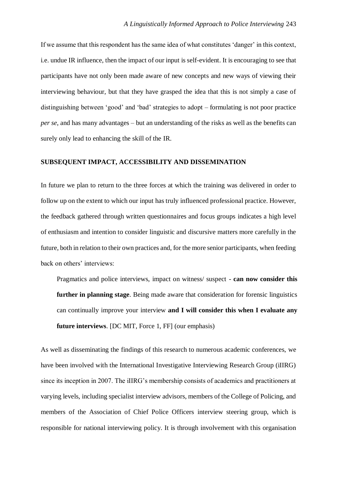If we assume that this respondent has the same idea of what constitutes 'danger' in this context, i.e. undue IR influence, then the impact of our input is self-evident. It is encouraging to see that participants have not only been made aware of new concepts and new ways of viewing their interviewing behaviour, but that they have grasped the idea that this is not simply a case of distinguishing between 'good' and 'bad' strategies to adopt – formulating is not poor practice *per se*, and has many advantages – but an understanding of the risks as well as the benefits can surely only lead to enhancing the skill of the IR.

### **SUBSEQUENT IMPACT, ACCESSIBILITY AND DISSEMINATION**

In future we plan to return to the three forces at which the training was delivered in order to follow up on the extent to which our input has truly influenced professional practice. However, the feedback gathered through written questionnaires and focus groups indicates a high level of enthusiasm and intention to consider linguistic and discursive matters more carefully in the future, both in relation to their own practices and, for the more senior participants, when feeding back on others' interviews:

Pragmatics and police interviews, impact on witness/ suspect - **can now consider this further in planning stage**. Being made aware that consideration for forensic linguistics can continually improve your interview **and I will consider this when I evaluate any future interviews**. [DC MIT, Force 1, FF] (our emphasis)

As well as disseminating the findings of this research to numerous academic conferences, we have been involved with the International Investigative Interviewing Research Group (iIIRG) since its inception in 2007. The iIIRG's membership consists of academics and practitioners at varying levels, including specialist interview advisors, members of the College of Policing, and members of the Association of Chief Police Officers interview steering group, which is responsible for national interviewing policy. It is through involvement with this organisation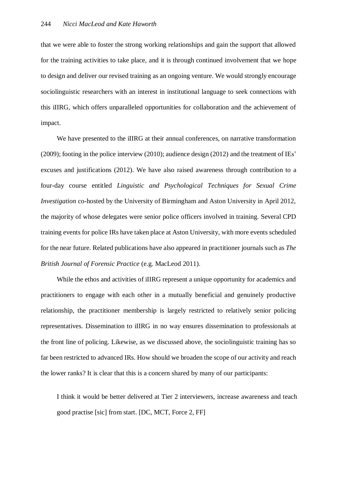that we were able to foster the strong working relationships and gain the support that allowed for the training activities to take place, and it is through continued involvement that we hope to design and deliver our revised training as an ongoing venture. We would strongly encourage sociolinguistic researchers with an interest in institutional language to seek connections with this iIIRG, which offers unparalleled opportunities for collaboration and the achievement of impact.

We have presented to the iIIRG at their annual conferences, on narrative transformation (2009); footing in the police interview (2010); audience design (2012) and the treatment of IEs' excuses and justifications (2012). We have also raised awareness through contribution to a four-day course entitled *Linguistic and Psychological Techniques for Sexual Crime Investigation* co-hosted by the University of Birmingham and Aston University in April 2012, the majority of whose delegates were senior police officers involved in training. Several CPD training events for police IRs have taken place at Aston University, with more events scheduled for the near future. Related publications have also appeared in practitioner journals such as *The British Journal of Forensic Practice* (e.g. MacLeod 2011).

While the ethos and activities of iIIRG represent a unique opportunity for academics and practitioners to engage with each other in a mutually beneficial and genuinely productive relationship, the practitioner membership is largely restricted to relatively senior policing representatives. Dissemination to iIIRG in no way ensures dissemination to professionals at the front line of policing. Likewise, as we discussed above, the sociolinguistic training has so far been restricted to advanced IRs. How should we broaden the scope of our activity and reach the lower ranks? It is clear that this is a concern shared by many of our participants:

I think it would be better delivered at Tier 2 interviewers, increase awareness and teach good practise [sic] from start. [DC, MCT, Force 2, FF]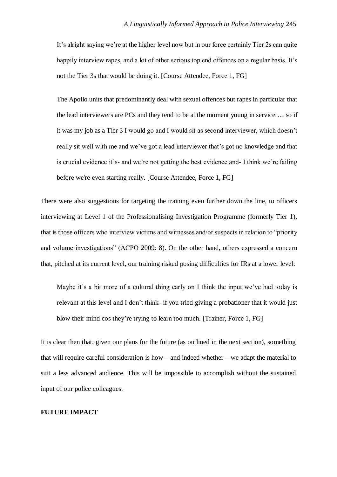It's alright saying we're at the higher level now but in our force certainly Tier 2s can quite happily interview rapes, and a lot of other serious top end offences on a regular basis. It's not the Tier 3s that would be doing it. [Course Attendee, Force 1, FG]

The Apollo units that predominantly deal with sexual offences but rapes in particular that the lead interviewers are PCs and they tend to be at the moment young in service … so if it was my job as a Tier 3 I would go and I would sit as second interviewer, which doesn't really sit well with me and we've got a lead interviewer that's got no knowledge and that is crucial evidence it's- and we're not getting the best evidence and- I think we're failing before we're even starting really. [Course Attendee, Force 1, FG]

There were also suggestions for targeting the training even further down the line, to officers interviewing at Level 1 of the Professionalising Investigation Programme (formerly Tier 1), that is those officers who interview victims and witnesses and/or suspects in relation to "priority and volume investigations" (ACPO 2009: 8). On the other hand, others expressed a concern that, pitched at its current level, our training risked posing difficulties for IRs at a lower level:

Maybe it's a bit more of a cultural thing early on I think the input we've had today is relevant at this level and I don't think- if you tried giving a probationer that it would just blow their mind cos they're trying to learn too much. [Trainer, Force 1, FG]

It is clear then that, given our plans for the future (as outlined in the next section), something that will require careful consideration is how – and indeed whether – we adapt the material to suit a less advanced audience. This will be impossible to accomplish without the sustained input of our police colleagues.

# **FUTURE IMPACT**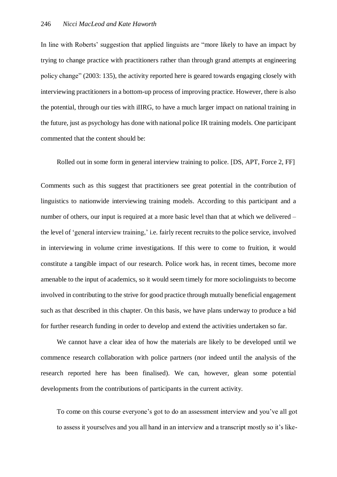In line with Roberts' suggestion that applied linguists are "more likely to have an impact by trying to change practice with practitioners rather than through grand attempts at engineering policy change" (2003: 135), the activity reported here is geared towards engaging closely with interviewing practitioners in a bottom-up process of improving practice. However, there is also the potential, through our ties with iIIRG, to have a much larger impact on national training in the future, just as psychology has done with national police IR training models. One participant commented that the content should be:

Rolled out in some form in general interview training to police. [DS, APT, Force 2, FF]

Comments such as this suggest that practitioners see great potential in the contribution of linguistics to nationwide interviewing training models. According to this participant and a number of others, our input is required at a more basic level than that at which we delivered – the level of 'general interview training,' i.e. fairly recent recruits to the police service, involved in interviewing in volume crime investigations. If this were to come to fruition, it would constitute a tangible impact of our research. Police work has, in recent times, become more amenable to the input of academics, so it would seem timely for more sociolinguists to become involved in contributing to the strive for good practice through mutually beneficial engagement such as that described in this chapter. On this basis, we have plans underway to produce a bid for further research funding in order to develop and extend the activities undertaken so far.

We cannot have a clear idea of how the materials are likely to be developed until we commence research collaboration with police partners (nor indeed until the analysis of the research reported here has been finalised). We can, however, glean some potential developments from the contributions of participants in the current activity.

To come on this course everyone's got to do an assessment interview and you've all got to assess it yourselves and you all hand in an interview and a transcript mostly so it's like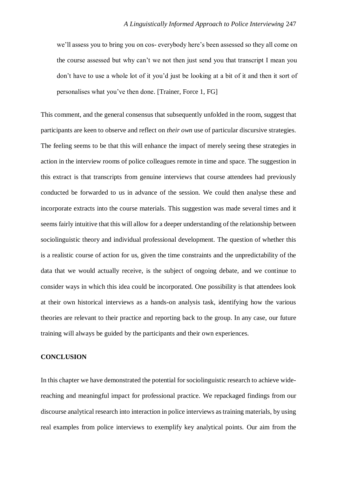we'll assess you to bring you on cos- everybody here's been assessed so they all come on the course assessed but why can't we not then just send you that transcript I mean you don't have to use a whole lot of it you'd just be looking at a bit of it and then it sort of personalises what you've then done. [Trainer, Force 1, FG]

This comment, and the general consensus that subsequently unfolded in the room, suggest that participants are keen to observe and reflect on *their own* use of particular discursive strategies. The feeling seems to be that this will enhance the impact of merely seeing these strategies in action in the interview rooms of police colleagues remote in time and space. The suggestion in this extract is that transcripts from genuine interviews that course attendees had previously conducted be forwarded to us in advance of the session. We could then analyse these and incorporate extracts into the course materials. This suggestion was made several times and it seems fairly intuitive that this will allow for a deeper understanding of the relationship between sociolinguistic theory and individual professional development. The question of whether this is a realistic course of action for us, given the time constraints and the unpredictability of the data that we would actually receive, is the subject of ongoing debate, and we continue to consider ways in which this idea could be incorporated. One possibility is that attendees look at their own historical interviews as a hands-on analysis task, identifying how the various theories are relevant to their practice and reporting back to the group. In any case, our future training will always be guided by the participants and their own experiences.

#### **CONCLUSION**

In this chapter we have demonstrated the potential for sociolinguistic research to achieve widereaching and meaningful impact for professional practice. We repackaged findings from our discourse analytical research into interaction in police interviews as training materials, by using real examples from police interviews to exemplify key analytical points. Our aim from the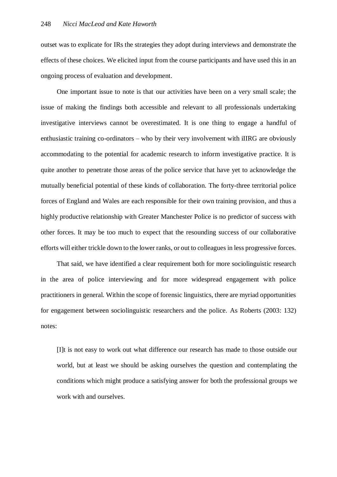outset was to explicate for IRs the strategies they adopt during interviews and demonstrate the effects of these choices. We elicited input from the course participants and have used this in an ongoing process of evaluation and development.

One important issue to note is that our activities have been on a very small scale; the issue of making the findings both accessible and relevant to all professionals undertaking investigative interviews cannot be overestimated. It is one thing to engage a handful of enthusiastic training co-ordinators – who by their very involvement with iIIRG are obviously accommodating to the potential for academic research to inform investigative practice. It is quite another to penetrate those areas of the police service that have yet to acknowledge the mutually beneficial potential of these kinds of collaboration. The forty-three territorial police forces of England and Wales are each responsible for their own training provision, and thus a highly productive relationship with Greater Manchester Police is no predictor of success with other forces. It may be too much to expect that the resounding success of our collaborative efforts will either trickle down to the lower ranks, or out to colleagues in less progressive forces.

That said, we have identified a clear requirement both for more sociolinguistic research in the area of police interviewing and for more widespread engagement with police practitioners in general. Within the scope of forensic linguistics, there are myriad opportunities for engagement between sociolinguistic researchers and the police. As Roberts (2003: 132) notes:

[I]t is not easy to work out what difference our research has made to those outside our world, but at least we should be asking ourselves the question and contemplating the conditions which might produce a satisfying answer for both the professional groups we work with and ourselves.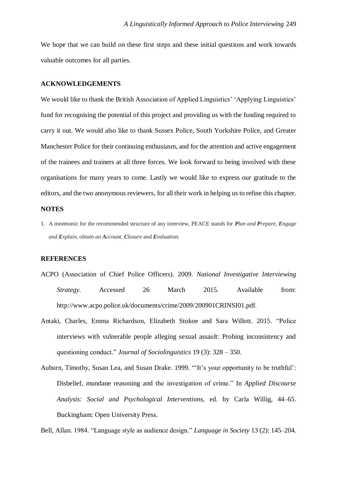We hope that we can build on these first steps and these initial questions and work towards valuable outcomes for all parties.

#### **ACKNOWLEDGEMENTS**

We would like to thank the British Association of Applied Linguistics' 'Applying Linguistics' fund for recognising the potential of this project and providing us with the funding required to carry it out. We would also like to thank Sussex Police, South Yorkshire Police, and Greater Manchester Police for their continuing enthusiasm, and for the attention and active engagement of the trainees and trainers at all three forces. We look forward to being involved with these organisations for many years to come. Lastly we would like to express our gratitude to the editors, and the two anonymous reviewers, for all their work in helping us to refine this chapter.

#### **NOTES**

1. A mnemonic for the recommended structure of any interview, PEACE stands for *Plan and Prepare, Engage and Explain, obtain an Account, Closure* and *Evaluation.*

#### **REFERENCES**

- ACPO (Association of Chief Police Officers). 2009. *National Investigative Interviewing Strategy.* Accessed 26 March 2015. Available from: http://www.acpo.police.uk/documents/crime/2009/200901CRINSI01.pdf*.*
- Antaki, Charles, Emma Richardson, Elizabeth Stokoe and Sara Willott. 2015. "Police interviews with vulnerable people alleging sexual assault: Probing inconsistency and questioning conduct." *Journal of Sociolinguistics* 19 (3): 328 – 350.
- Auburn, Timothy, Susan Lea, and Susan Drake. 1999. "'It's your opportunity to be truthful': Disbelief, mundane reasoning and the investigation of crime." In *Applied Discourse Analysis: Social and Psychological Interventions*, ed. by Carla Willig, 44–65. Buckingham: Open University Press.

Bell, Allan. 1984. "Language style as audience design." *Language in Society* 13 (2): 145–204.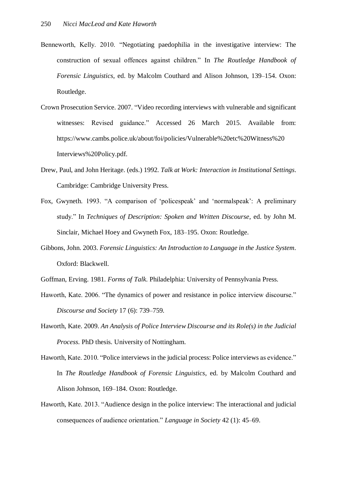- Benneworth, Kelly. 2010. "Negotiating paedophilia in the investigative interview: The construction of sexual offences against children." In *The Routledge Handbook of Forensic Linguistics*, ed. by Malcolm Couthard and Alison Johnson, 139–154. Oxon: Routledge.
- Crown Prosecution Service. 2007. "Video recording interviews with vulnerable and significant witnesses: Revised guidance." Accessed 26 March 2015. Available from: https://www.cambs.police.uk/about/foi/policies/Vulnerable%20etc%20Witness%20 Interviews%20Policy.pdf.
- Drew, Paul, and John Heritage. (eds.) 1992. *Talk at Work: Interaction in Institutional Settings*. Cambridge: Cambridge University Press.
- Fox, Gwyneth. 1993. "A comparison of 'policespeak' and 'normalspeak': A preliminary study." In *Techniques of Description: Spoken and Written Discourse*, ed. by John M. Sinclair, Michael Hoey and Gwyneth Fox, 183–195. Oxon: Routledge.
- Gibbons, John. 2003. *Forensic Linguistics: An Introduction to Language in the Justice System*. Oxford: Blackwell.
- Goffman, Erving. 1981. *Forms of Talk*. Philadelphia: University of Pennsylvania Press.
- Haworth, Kate. 2006. "The dynamics of power and resistance in police interview discourse." *Discourse and Society* 17 (6): 739–759.
- Haworth, Kate. 2009. *An Analysis of Police Interview Discourse and its Role(s) in the Judicial Process*. PhD thesis. University of Nottingham.
- Haworth, Kate. 2010. "Police interviews in the judicial process: Police interviews as evidence." In *The Routledge Handbook of Forensic Linguistics*, ed. by Malcolm Couthard and Alison Johnson, 169–184. Oxon: Routledge.
- Haworth, Kate. 2013. "Audience design in the police interview: The interactional and judicial consequences of audience orientation." *Language in Society* 42 (1): 45–69.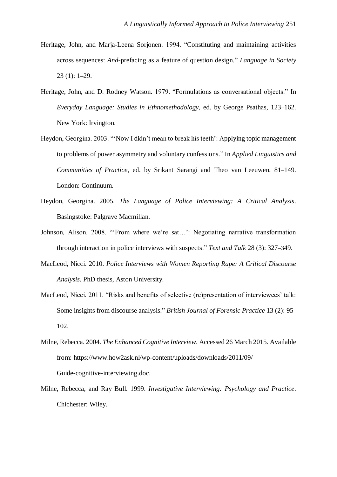- Heritage, John, and Marja-Leena Sorjonen. 1994. "Constituting and maintaining activities across sequences: *And-*prefacing as a feature of question design." *Language in Society* 23 (1): 1–29.
- Heritage, John, and D. Rodney Watson. 1979. "Formulations as conversational objects." In *Everyday Language: Studies in Ethnomethodology*, ed. by George Psathas, 123–162. New York: Irvington.
- Heydon, Georgina. 2003. ""Now I didn't mean to break his teeth': Applying topic management to problems of power asymmetry and voluntary confessions." In *Applied Linguistics and Communities of Practice*, ed. by Srikant Sarangi and Theo van Leeuwen, 81–149. London: Continuum.
- Heydon, Georgina. 2005. *The Language of Police Interviewing: A Critical Analysis*. Basingstoke: Palgrave Macmillan.
- Johnson, Alison. 2008. "'From where we're sat…': Negotiating narrative transformation through interaction in police interviews with suspects." *Text and Talk* 28 (3): 327–349.
- MacLeod, Nicci. 2010. *Police Interviews with Women Reporting Rape: A Critical Discourse Analysis*. PhD thesis, Aston University.
- MacLeod, Nicci. 2011. "Risks and benefits of selective (re)presentation of interviewees' talk: Some insights from discourse analysis." *British Journal of Forensic Practice* 13 (2): 95– 102.
- Milne, Rebecca. 2004. *The Enhanced Cognitive Interview*. Accessed 26 March 2015. Available from: https://www.how2ask.nl/wp-content/uploads/downloads/2011/09/ Guide-cognitive-interviewing.doc.
- Milne, Rebecca, and Ray Bull. 1999. *Investigative Interviewing: Psychology and Practice*. Chichester: Wiley.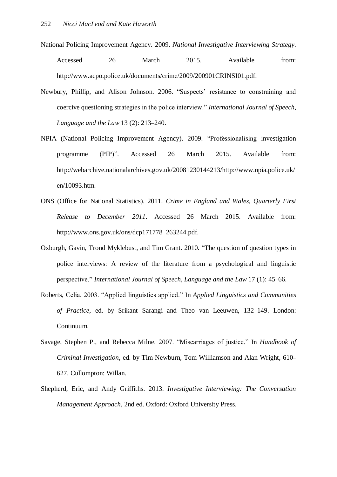- National Policing Improvement Agency. 2009. *National Investigative Interviewing Strategy*. Accessed 26 March 2015. Available from: http://www.acpo.police.uk/documents/crime/2009/200901CRINSI01.pdf.
- Newbury, Phillip, and Alison Johnson. 2006. "Suspects' resistance to constraining and coercive questioning strategies in the police interview." *International Journal of Speech, Language and the Law* 13 (2): 213–240.
- NPIA (National Policing Improvement Agency). 2009. "Professionalising investigation programme (PIP)". Accessed 26 March 2015. Available from: http://webarchive.nationalarchives.gov.uk/20081230144213/http://www.npia.police.uk/ en/10093.htm.
- ONS (Office for National Statistics). 2011. *Crime in England and Wales, Quarterly First Release to December 2011*. Accessed 26 March 2015. Available from: http://www.ons.gov.uk/ons/dcp171778\_263244.pdf.
- Oxburgh, Gavin, Trond Myklebust, and Tim Grant. 2010. "The question of question types in police interviews: A review of the literature from a psychological and linguistic perspective." *International Journal of Speech, Language and the Law* 17 (1): 45–66.
- Roberts, Celia. 2003. "Applied linguistics applied." In *Applied Linguistics and Communities of Practice*, ed. by Srikant Sarangi and Theo van Leeuwen, 132–149. London: Continuum.
- Savage, Stephen P., and Rebecca Milne. 2007. "Miscarriages of justice." In *Handbook of Criminal Investigation*, ed. by Tim Newburn, Tom Williamson and Alan Wright, 610– 627. Cullompton: Willan.
- Shepherd, Eric, and Andy Griffiths. 2013. *Investigative Interviewing: The Conversation Management Approach*, 2nd ed. Oxford: Oxford University Press.